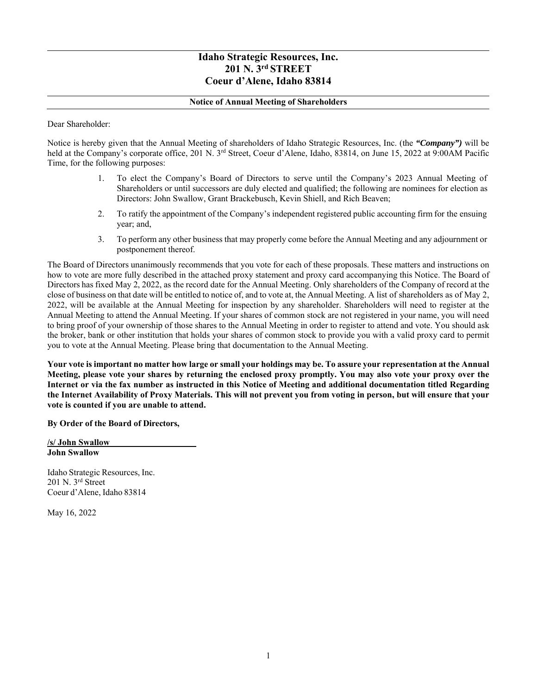# **Idaho Strategic Resources, Inc. 201 N. 3rd STREET Coeur d'Alene, Idaho 83814**

## **Notice of Annual Meeting of Shareholders**

Dear Shareholder:

Notice is hereby given that the Annual Meeting of shareholders of Idaho Strategic Resources, Inc. (the *"Company")* will be held at the Company's corporate office, 201 N. 3<sup>rd</sup> Street, Coeur d'Alene, Idaho, 83814, on June 15, 2022 at 9:00AM Pacific Time, for the following purposes:

- 1. To elect the Company's Board of Directors to serve until the Company's 2023 Annual Meeting of Shareholders or until successors are duly elected and qualified; the following are nominees for election as Directors: John Swallow, Grant Brackebusch, Kevin Shiell, and Rich Beaven;
- 2. To ratify the appointment of the Company's independent registered public accounting firm for the ensuing year; and,
- 3. To perform any other business that may properly come before the Annual Meeting and any adjournment or postponement thereof.

The Board of Directors unanimously recommends that you vote for each of these proposals. These matters and instructions on how to vote are more fully described in the attached proxy statement and proxy card accompanying this Notice. The Board of Directors has fixed May 2, 2022, as the record date for the Annual Meeting. Only shareholders of the Company of record at the close of business on that date will be entitled to notice of, and to vote at, the Annual Meeting. A list of shareholders as of May 2, 2022, will be available at the Annual Meeting for inspection by any shareholder. Shareholders will need to register at the Annual Meeting to attend the Annual Meeting. If your shares of common stock are not registered in your name, you will need to bring proof of your ownership of those shares to the Annual Meeting in order to register to attend and vote. You should ask the broker, bank or other institution that holds your shares of common stock to provide you with a valid proxy card to permit you to vote at the Annual Meeting. Please bring that documentation to the Annual Meeting.

**Your vote is important no matter how large or small your holdings may be. To assure your representation at the Annual Meeting, please vote your shares by returning the enclosed proxy promptly. You may also vote your proxy over the Internet or via the fax number as instructed in this Notice of Meeting and additional documentation titled Regarding the Internet Availability of Proxy Materials. This will not prevent you from voting in person, but will ensure that your vote is counted if you are unable to attend.** 

**By Order of the Board of Directors,** 

**/s/ John Swallow John Swallow** 

Idaho Strategic Resources, Inc. 201 N. 3rd Street Coeur d'Alene, Idaho 83814

May 16, 2022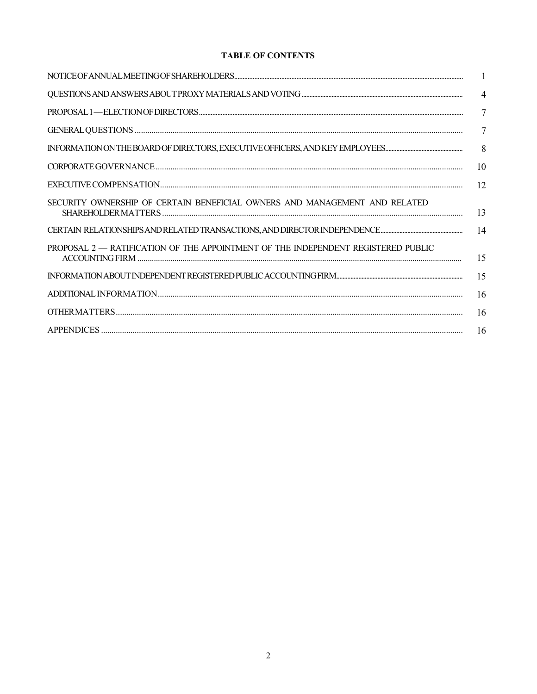# **TABLE OF CONTENTS**

|                                                                                   | $\mathbf{1}$   |
|-----------------------------------------------------------------------------------|----------------|
|                                                                                   | $\overline{4}$ |
|                                                                                   | $\tau$         |
|                                                                                   | 7              |
|                                                                                   | 8              |
|                                                                                   | 10             |
|                                                                                   | 12             |
| SECURITY OWNERSHIP OF CERTAIN BENEFICIAL OWNERS AND MANAGEMENT AND RELATED        | 13             |
|                                                                                   | 14             |
| PROPOSAL 2 - RATIFICATION OF THE APPOINTMENT OF THE INDEPENDENT REGISTERED PUBLIC | 15             |
|                                                                                   | 15             |
|                                                                                   | 16             |
|                                                                                   | 16             |
|                                                                                   | -16            |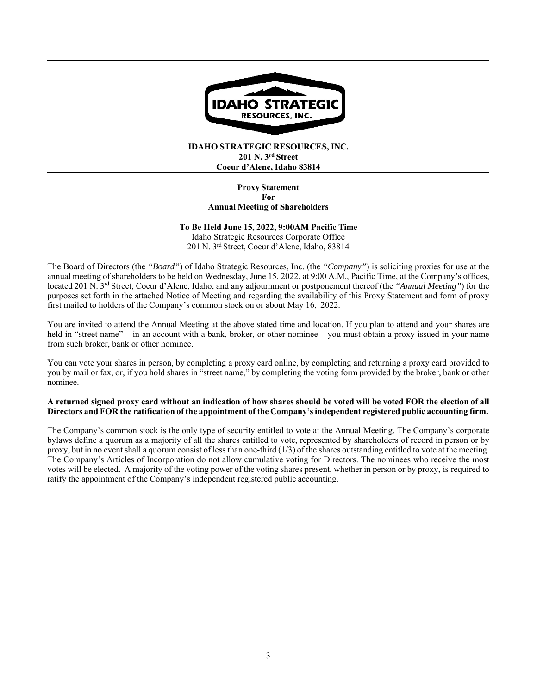

## **IDAHO STRATEGIC RESOURCES, INC. 201 N. 3rd Street Coeur d'Alene, Idaho 83814**

### **Proxy Statement For Annual Meeting of Shareholders**

**To Be Held June 15, 2022, 9:00AM Pacific Time**  Idaho Strategic Resources Corporate Office 201 N. 3rd Street, Coeur d'Alene, Idaho, 83814

The Board of Directors (the *"Board"*) of Idaho Strategic Resources, Inc. (the *"Company"*) is soliciting proxies for use at the annual meeting of shareholders to be held on Wednesday, June 15, 2022, at 9:00 A.M., Pacific Time, at the Company's offices, located 201 N. 3rd Street, Coeur d'Alene, Idaho, and any adjournment or postponement thereof (the *"Annual Meeting"*) for the purposes set forth in the attached Notice of Meeting and regarding the availability of this Proxy Statement and form of proxy first mailed to holders of the Company's common stock on or about May 16, 2022.

You are invited to attend the Annual Meeting at the above stated time and location. If you plan to attend and your shares are held in "street name" – in an account with a bank, broker, or other nominee – you must obtain a proxy issued in your name from such broker, bank or other nominee.

You can vote your shares in person, by completing a proxy card online, by completing and returning a proxy card provided to you by mail or fax, or, if you hold shares in "street name," by completing the voting form provided by the broker, bank or other nominee.

### **A returned signed proxy card without an indication of how shares should be voted will be voted FOR the election of all Directors and FOR the ratification of the appointment of the Company's independent registered public accounting firm.**

The Company's common stock is the only type of security entitled to vote at the Annual Meeting. The Company's corporate bylaws define a quorum as a majority of all the shares entitled to vote, represented by shareholders of record in person or by proxy, but in no event shall a quorum consist of less than one-third (1/3) of the shares outstanding entitled to vote at the meeting. The Company's Articles of Incorporation do not allow cumulative voting for Directors. The nominees who receive the most votes will be elected. A majority of the voting power of the voting shares present, whether in person or by proxy, is required to ratify the appointment of the Company's independent registered public accounting.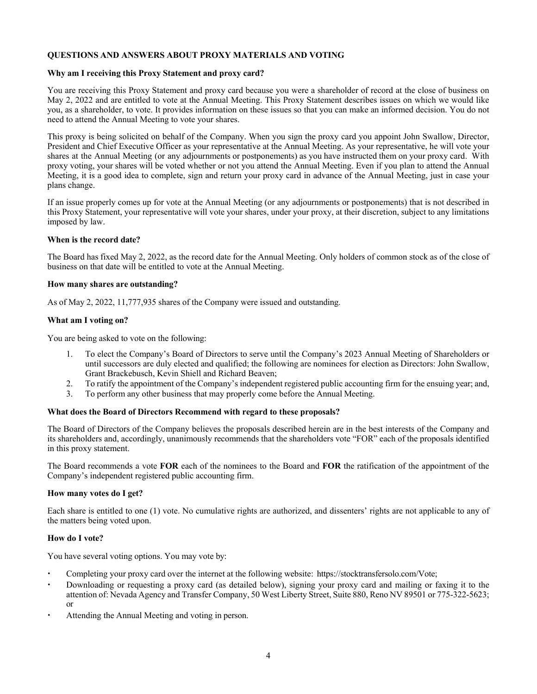# **QUESTIONS AND ANSWERS ABOUT PROXY MATERIALS AND VOTING**

### **Why am I receiving this Proxy Statement and proxy card?**

You are receiving this Proxy Statement and proxy card because you were a shareholder of record at the close of business on May 2, 2022 and are entitled to vote at the Annual Meeting. This Proxy Statement describes issues on which we would like you, as a shareholder, to vote. It provides information on these issues so that you can make an informed decision. You do not need to attend the Annual Meeting to vote your shares.

This proxy is being solicited on behalf of the Company. When you sign the proxy card you appoint John Swallow, Director, President and Chief Executive Officer as your representative at the Annual Meeting. As your representative, he will vote your shares at the Annual Meeting (or any adjournments or postponements) as you have instructed them on your proxy card. With proxy voting, your shares will be voted whether or not you attend the Annual Meeting. Even if you plan to attend the Annual Meeting, it is a good idea to complete, sign and return your proxy card in advance of the Annual Meeting, just in case your plans change.

If an issue properly comes up for vote at the Annual Meeting (or any adjournments or postponements) that is not described in this Proxy Statement, your representative will vote your shares, under your proxy, at their discretion, subject to any limitations imposed by law.

## **When is the record date?**

The Board has fixed May 2, 2022, as the record date for the Annual Meeting. Only holders of common stock as of the close of business on that date will be entitled to vote at the Annual Meeting.

## **How many shares are outstanding?**

As of May 2, 2022, 11,777,935 shares of the Company were issued and outstanding.

## **What am I voting on?**

You are being asked to vote on the following:

- 1. To elect the Company's Board of Directors to serve until the Company's 2023 Annual Meeting of Shareholders or until successors are duly elected and qualified; the following are nominees for election as Directors: John Swallow, Grant Brackebusch, Kevin Shiell and Richard Beaven;
- 2. To ratify the appointment of the Company's independent registered public accounting firm for the ensuing year; and,
- 3. To perform any other business that may properly come before the Annual Meeting.

# **What does the Board of Directors Recommend with regard to these proposals?**

The Board of Directors of the Company believes the proposals described herein are in the best interests of the Company and its shareholders and, accordingly, unanimously recommends that the shareholders vote "FOR" each of the proposals identified in this proxy statement.

The Board recommends a vote **FOR** each of the nominees to the Board and **FOR** the ratification of the appointment of the Company's independent registered public accounting firm.

### **How many votes do I get?**

Each share is entitled to one (1) vote. No cumulative rights are authorized, and dissenters' rights are not applicable to any of the matters being voted upon.

### **How do I vote?**

You have several voting options. You may vote by:

- Completing your proxy card over the internet at the following website: https://stocktransfersolo.com/Vote;
- Downloading or requesting a proxy card (as detailed below), signing your proxy card and mailing or faxing it to the attention of: Nevada Agency and Transfer Company, 50 West Liberty Street, Suite 880, Reno NV 89501 or 775-322-5623; or
- Attending the Annual Meeting and voting in person.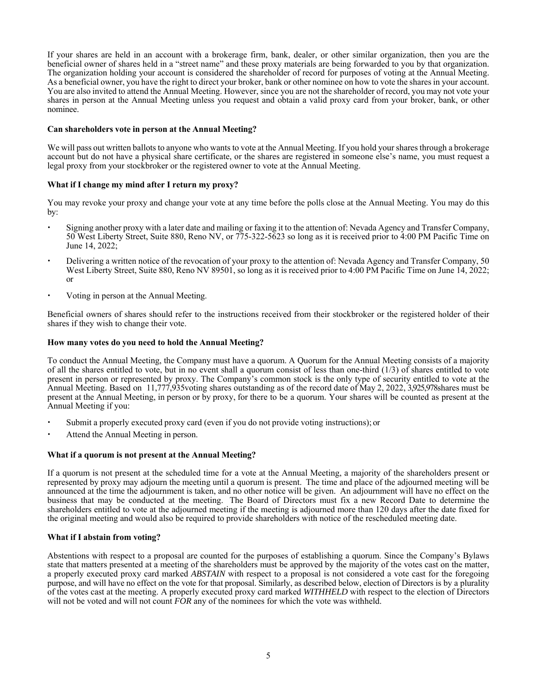If your shares are held in an account with a brokerage firm, bank, dealer, or other similar organization, then you are the beneficial owner of shares held in a "street name" and these proxy materials are being forwarded to you by that organization. The organization holding your account is considered the shareholder of record for purposes of voting at the Annual Meeting. As a beneficial owner, you have the right to direct your broker, bank or other nominee on how to vote the shares in your account. You are also invited to attend the Annual Meeting. However, since you are not the shareholder of record, you may not vote your shares in person at the Annual Meeting unless you request and obtain a valid proxy card from your broker, bank, or other nominee.

### **Can shareholders vote in person at the Annual Meeting?**

We will pass out written ballots to anyone who wants to vote at the Annual Meeting. If you hold your shares through a brokerage account but do not have a physical share certificate, or the shares are registered in someone else's name, you must request a legal proxy from your stockbroker or the registered owner to vote at the Annual Meeting.

## **What if I change my mind after I return my proxy?**

You may revoke your proxy and change your vote at any time before the polls close at the Annual Meeting. You may do this by:

- Signing another proxy with a later date and mailing or faxing it to the attention of: Nevada Agency and Transfer Company, 50 West Liberty Street, Suite 880, Reno NV, or 775-322-5623 so long as it is received prior to 4:00 PM Pacific Time on June 14, 2022;
- Delivering a written notice of the revocation of your proxy to the attention of: Nevada Agency and Transfer Company, 50 West Liberty Street, Suite 880, Reno NV 89501, so long as it is received prior to 4:00 PM Pacific Time on June 14, 2022; or
- Voting in person at the Annual Meeting.

Beneficial owners of shares should refer to the instructions received from their stockbroker or the registered holder of their shares if they wish to change their vote.

### **How many votes do you need to hold the Annual Meeting?**

To conduct the Annual Meeting, the Company must have a quorum. A Quorum for the Annual Meeting consists of a majority of all the shares entitled to vote, but in no event shall a quorum consist of less than one-third  $(1/3)$  of shares entitled to vote present in person or represented by proxy. The Company's common stock is the only type of security entitled to vote at the Annual Meeting. Based on 11,777,935voting shares outstanding as of the record date of May 2, 2022, 3,925,978shares must be present at the Annual Meeting, in person or by proxy, for there to be a quorum. Your shares will be counted as present at the Annual Meeting if you:

- Submit a properly executed proxy card (even if you do not provide voting instructions); or
- Attend the Annual Meeting in person.

### **What if a quorum is not present at the Annual Meeting?**

If a quorum is not present at the scheduled time for a vote at the Annual Meeting, a majority of the shareholders present or represented by proxy may adjourn the meeting until a quorum is present. The time and place of the adjourned meeting will be announced at the time the adjournment is taken, and no other notice will be given. An adjournment will have no effect on the business that may be conducted at the meeting. The Board of Directors must fix a new Record Date to determine the shareholders entitled to vote at the adjourned meeting if the meeting is adjourned more than 120 days after the date fixed for the original meeting and would also be required to provide shareholders with notice of the rescheduled meeting date.

# **What if I abstain from voting?**

Abstentions with respect to a proposal are counted for the purposes of establishing a quorum. Since the Company's Bylaws state that matters presented at a meeting of the shareholders must be approved by the majority of the votes cast on the matter, a properly executed proxy card marked *ABSTAIN* with respect to a proposal is not considered a vote cast for the foregoing purpose, and will have no effect on the vote for that proposal. Similarly, as described below, election of Directors is by a plurality of the votes cast at the meeting. A properly executed proxy card marked *WITHHELD* with respect to the election of Directors will not be voted and will not count *FOR* any of the nominees for which the vote was withheld.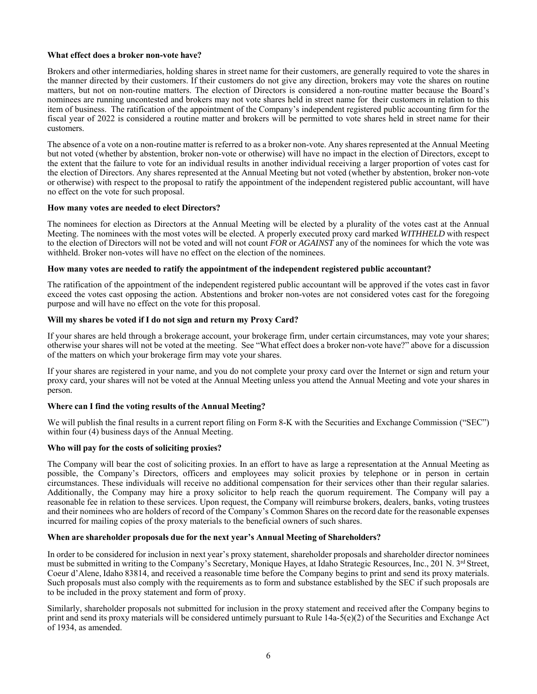### **What effect does a broker non-vote have?**

Brokers and other intermediaries, holding shares in street name for their customers, are generally required to vote the shares in the manner directed by their customers. If their customers do not give any direction, brokers may vote the shares on routine matters, but not on non-routine matters. The election of Directors is considered a non-routine matter because the Board's nominees are running uncontested and brokers may not vote shares held in street name for their customers in relation to this item of business. The ratification of the appointment of the Company's independent registered public accounting firm for the fiscal year of 2022 is considered a routine matter and brokers will be permitted to vote shares held in street name for their customers.

The absence of a vote on a non-routine matter is referred to as a broker non-vote. Any shares represented at the Annual Meeting but not voted (whether by abstention, broker non-vote or otherwise) will have no impact in the election of Directors, except to the extent that the failure to vote for an individual results in another individual receiving a larger proportion of votes cast for the election of Directors. Any shares represented at the Annual Meeting but not voted (whether by abstention, broker non-vote or otherwise) with respect to the proposal to ratify the appointment of the independent registered public accountant, will have no effect on the vote for such proposal.

## **How many votes are needed to elect Directors?**

The nominees for election as Directors at the Annual Meeting will be elected by a plurality of the votes cast at the Annual Meeting. The nominees with the most votes will be elected. A properly executed proxy card marked *WITHHELD* with respect to the election of Directors will not be voted and will not count *FOR* or *AGAINST* any of the nominees for which the vote was withheld. Broker non-votes will have no effect on the election of the nominees.

## **How many votes are needed to ratify the appointment of the independent registered public accountant?**

The ratification of the appointment of the independent registered public accountant will be approved if the votes cast in favor exceed the votes cast opposing the action. Abstentions and broker non-votes are not considered votes cast for the foregoing purpose and will have no effect on the vote for this proposal.

## **Will my shares be voted if I do not sign and return my Proxy Card?**

If your shares are held through a brokerage account, your brokerage firm, under certain circumstances, may vote your shares; otherwise your shares will not be voted at the meeting. See "What effect does a broker non-vote have?" above for a discussion of the matters on which your brokerage firm may vote your shares.

If your shares are registered in your name, and you do not complete your proxy card over the Internet or sign and return your proxy card, your shares will not be voted at the Annual Meeting unless you attend the Annual Meeting and vote your shares in person.

### **Where can I find the voting results of the Annual Meeting?**

We will publish the final results in a current report filing on Form 8-K with the Securities and Exchange Commission ("SEC") within four (4) business days of the Annual Meeting.

### **Who will pay for the costs of soliciting proxies?**

The Company will bear the cost of soliciting proxies. In an effort to have as large a representation at the Annual Meeting as possible, the Company's Directors, officers and employees may solicit proxies by telephone or in person in certain circumstances. These individuals will receive no additional compensation for their services other than their regular salaries. Additionally, the Company may hire a proxy solicitor to help reach the quorum requirement. The Company will pay a reasonable fee in relation to these services. Upon request, the Company will reimburse brokers, dealers, banks, voting trustees and their nominees who are holders of record of the Company's Common Shares on the record date for the reasonable expenses incurred for mailing copies of the proxy materials to the beneficial owners of such shares.

### **When are shareholder proposals due for the next year's Annual Meeting of Shareholders?**

In order to be considered for inclusion in next year's proxy statement, shareholder proposals and shareholder director nominees must be submitted in writing to the Company's Secretary, Monique Hayes, at Idaho Strategic Resources, Inc., 201 N. 3<sup>rd</sup> Street, Coeur d'Alene, Idaho 83814, and received a reasonable time before the Company begins to print and send its proxy materials. Such proposals must also comply with the requirements as to form and substance established by the SEC if such proposals are to be included in the proxy statement and form of proxy.

Similarly, shareholder proposals not submitted for inclusion in the proxy statement and received after the Company begins to print and send its proxy materials will be considered untimely pursuant to Rule 14a-5(e)(2) of the Securities and Exchange Act of 1934, as amended.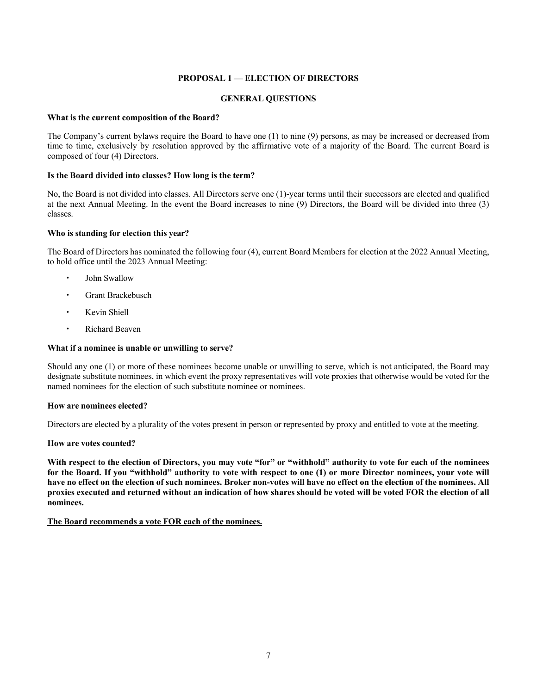# **PROPOSAL 1 — ELECTION OF DIRECTORS**

# **GENERAL QUESTIONS**

### **What is the current composition of the Board?**

The Company's current bylaws require the Board to have one (1) to nine (9) persons, as may be increased or decreased from time to time, exclusively by resolution approved by the affirmative vote of a majority of the Board. The current Board is composed of four (4) Directors.

### **Is the Board divided into classes? How long is the term?**

No, the Board is not divided into classes. All Directors serve one (1)-year terms until their successors are elected and qualified at the next Annual Meeting. In the event the Board increases to nine (9) Directors, the Board will be divided into three (3) classes.

### **Who is standing for election this year?**

The Board of Directors has nominated the following four (4), current Board Members for election at the 2022 Annual Meeting, to hold office until the 2023 Annual Meeting:

- John Swallow
- Grant Brackebusch
- Kevin Shiell
- Richard Beaven

### **What if a nominee is unable or unwilling to serve?**

Should any one (1) or more of these nominees become unable or unwilling to serve, which is not anticipated, the Board may designate substitute nominees, in which event the proxy representatives will vote proxies that otherwise would be voted for the named nominees for the election of such substitute nominee or nominees.

### **How are nominees elected?**

Directors are elected by a plurality of the votes present in person or represented by proxy and entitled to vote at the meeting.

### **How are votes counted?**

**With respect to the election of Directors, you may vote "for" or "withhold" authority to vote for each of the nominees for the Board. If you "withhold" authority to vote with respect to one (1) or more Director nominees, your vote will have no effect on the election of such nominees. Broker non-votes will have no effect on the election of the nominees. All proxies executed and returned without an indication of how shares should be voted will be voted FOR the election of all nominees.** 

#### **The Board recommends a vote FOR each of the nominees.**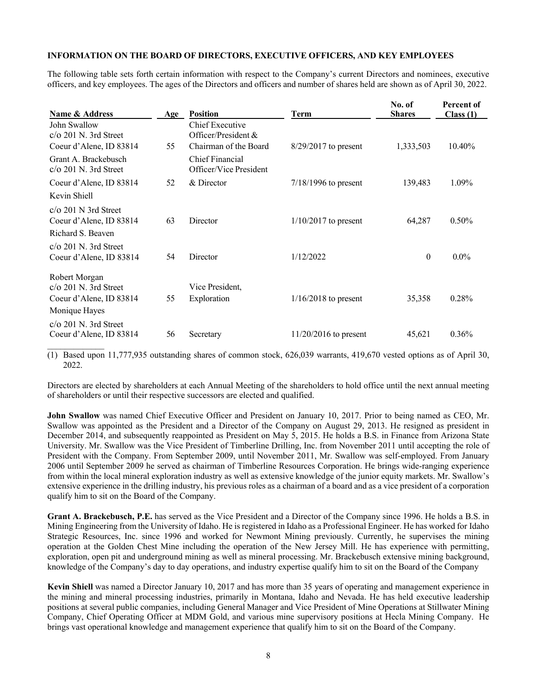## **INFORMATION ON THE BOARD OF DIRECTORS, EXECUTIVE OFFICERS, AND KEY EMPLOYEES**

The following table sets forth certain information with respect to the Company's current Directors and nominees, executive officers, and key employees. The ages of the Directors and officers and number of shares held are shown as of April 30, 2022.

| Name & Address                                                                            | Age | <b>Position</b>                                                 | <b>Term</b>             | No. of<br><b>Shares</b> | Percent of<br>Class(1) |
|-------------------------------------------------------------------------------------------|-----|-----------------------------------------------------------------|-------------------------|-------------------------|------------------------|
| John Swallow<br>$c/\sigma$ 201 N. 3rd Street<br>Coeur d'Alene, ID 83814                   | 55  | Chief Executive<br>Officer/President &<br>Chairman of the Board | $8/29/2017$ to present  | 1,333,503               | 10.40%                 |
| Grant A. Brackebusch<br>$c/\sigma$ 201 N. 3rd Street                                      |     | Chief Financial<br>Officer/Vice President                       |                         |                         |                        |
| Coeur d'Alene, ID 83814                                                                   | 52  | & Director                                                      | $7/18/1996$ to present  | 139,483                 | 1.09%                  |
| Kevin Shiell                                                                              |     |                                                                 |                         |                         |                        |
| $c/\sigma$ 201 N 3rd Street<br>Coeur d'Alene, ID 83814<br>Richard S. Beaven               | 63  | Director                                                        | $1/10/2017$ to present  | 64,287                  | $0.50\%$               |
| $c/\sigma$ 201 N. 3rd Street<br>Coeur d'Alene, ID 83814                                   | 54  | Director                                                        | 1/12/2022               | $\theta$                | $0.0\%$                |
| Robert Morgan<br>$c/\sigma$ 201 N. 3rd Street<br>Coeur d'Alene, ID 83814<br>Monique Hayes | 55  | Vice President,<br>Exploration                                  | $1/16/2018$ to present  | 35,358                  | 0.28%                  |
| $c/\sigma$ 201 N. 3rd Street<br>Coeur d'Alene, ID 83814                                   | 56  | Secretary                                                       | $11/20/2016$ to present | 45,621                  | 0.36%                  |

(1) Based upon 11,777,935 outstanding shares of common stock, 626,039 warrants, 419,670 vested options as of April 30, 2022.

Directors are elected by shareholders at each Annual Meeting of the shareholders to hold office until the next annual meeting of shareholders or until their respective successors are elected and qualified.

**John Swallow** was named Chief Executive Officer and President on January 10, 2017. Prior to being named as CEO, Mr. Swallow was appointed as the President and a Director of the Company on August 29, 2013. He resigned as president in December 2014, and subsequently reappointed as President on May 5, 2015. He holds a B.S. in Finance from Arizona State University. Mr. Swallow was the Vice President of Timberline Drilling, Inc. from November 2011 until accepting the role of President with the Company. From September 2009, until November 2011, Mr. Swallow was self-employed. From January 2006 until September 2009 he served as chairman of Timberline Resources Corporation. He brings wide-ranging experience from within the local mineral exploration industry as well as extensive knowledge of the junior equity markets. Mr. Swallow's extensive experience in the drilling industry, his previous roles as a chairman of a board and as a vice president of a corporation qualify him to sit on the Board of the Company.

**Grant A. Brackebusch, P.E.** has served as the Vice President and a Director of the Company since 1996. He holds a B.S. in Mining Engineering from the University of Idaho. He is registered in Idaho as a Professional Engineer. He has worked for Idaho Strategic Resources, Inc. since 1996 and worked for Newmont Mining previously. Currently, he supervises the mining operation at the Golden Chest Mine including the operation of the New Jersey Mill. He has experience with permitting, exploration, open pit and underground mining as well as mineral processing. Mr. Brackebusch extensive mining background, knowledge of the Company's day to day operations, and industry expertise qualify him to sit on the Board of the Company

**Kevin Shiell** was named a Director January 10, 2017 and has more than 35 years of operating and management experience in the mining and mineral processing industries, primarily in Montana, Idaho and Nevada. He has held executive leadership positions at several public companies, including General Manager and Vice President of Mine Operations at Stillwater Mining Company, Chief Operating Officer at MDM Gold, and various mine supervisory positions at Hecla Mining Company. He brings vast operational knowledge and management experience that qualify him to sit on the Board of the Company.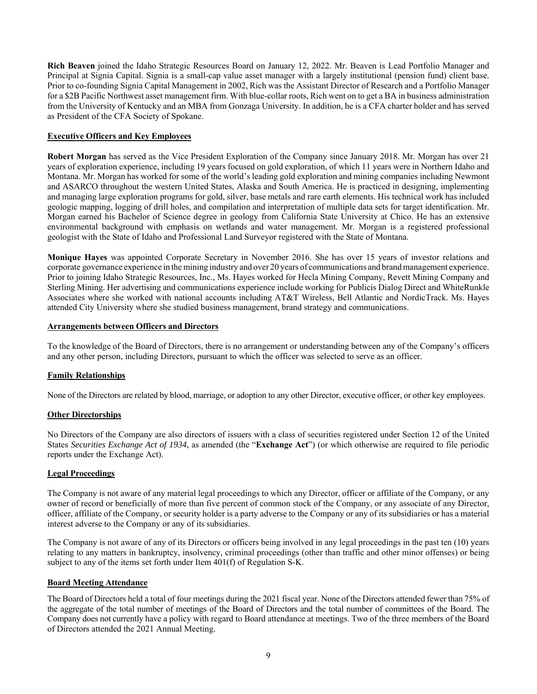**Rich Beaven** joined the Idaho Strategic Resources Board on January 12, 2022. Mr. Beaven is Lead Portfolio Manager and Principal at Signia Capital. Signia is a small-cap value asset manager with a largely institutional (pension fund) client base. Prior to co-founding Signia Capital Management in 2002, Rich was the Assistant Director of Research and a Portfolio Manager for a \$2B Pacific Northwest asset management firm. With blue-collar roots, Rich went on to get a BA in business administration from the University of Kentucky and an MBA from Gonzaga University. In addition, he is a CFA charter holder and has served as President of the CFA Society of Spokane.

## **Executive Officers and Key Employees**

**Robert Morgan** has served as the Vice President Exploration of the Company since January 2018. Mr. Morgan has over 21 years of exploration experience, including 19 years focused on gold exploration, of which 11 years were in Northern Idaho and Montana. Mr. Morgan has worked for some of the world's leading gold exploration and mining companies including Newmont and ASARCO throughout the western United States, Alaska and South America. He is practiced in designing, implementing and managing large exploration programs for gold, silver, base metals and rare earth elements. His technical work has included geologic mapping, logging of drill holes, and compilation and interpretation of multiple data sets for target identification. Mr. Morgan earned his Bachelor of Science degree in geology from California State University at Chico. He has an extensive environmental background with emphasis on wetlands and water management. Mr. Morgan is a registered professional geologist with the State of Idaho and Professional Land Surveyor registered with the State of Montana.

**Monique Hayes** was appointed Corporate Secretary in November 2016. She has over 15 years of investor relations and corporate governance experience in the mining industry and over 20 years of communications and brand management experience. Prior to joining Idaho Strategic Resources, Inc., Ms. Hayes worked for Hecla Mining Company, Revett Mining Company and Sterling Mining. Her advertising and communications experience include working for Publicis Dialog Direct and WhiteRunkle Associates where she worked with national accounts including AT&T Wireless, Bell Atlantic and NordicTrack. Ms. Hayes attended City University where she studied business management, brand strategy and communications.

### **Arrangements between Officers and Directors**

To the knowledge of the Board of Directors, there is no arrangement or understanding between any of the Company's officers and any other person, including Directors, pursuant to which the officer was selected to serve as an officer.

### **Family Relationships**

None of the Directors are related by blood, marriage, or adoption to any other Director, executive officer, or other key employees.

# **Other Directorships**

No Directors of the Company are also directors of issuers with a class of securities registered under Section 12 of the United States *Securities Exchange Act of 1934*, as amended (the "**Exchange Act**") (or which otherwise are required to file periodic reports under the Exchange Act).

### **Legal Proceedings**

The Company is not aware of any material legal proceedings to which any Director, officer or affiliate of the Company, or any owner of record or beneficially of more than five percent of common stock of the Company, or any associate of any Director, officer, affiliate of the Company, or security holder is a party adverse to the Company or any of its subsidiaries or has a material interest adverse to the Company or any of its subsidiaries.

The Company is not aware of any of its Directors or officers being involved in any legal proceedings in the past ten (10) years relating to any matters in bankruptcy, insolvency, criminal proceedings (other than traffic and other minor offenses) or being subject to any of the items set forth under Item 401(f) of Regulation S-K.

### **Board Meeting Attendance**

The Board of Directors held a total of four meetings during the 2021 fiscal year. None of the Directors attended fewer than 75% of the aggregate of the total number of meetings of the Board of Directors and the total number of committees of the Board. The Company does not currently have a policy with regard to Board attendance at meetings. Two of the three members of the Board of Directors attended the 2021 Annual Meeting.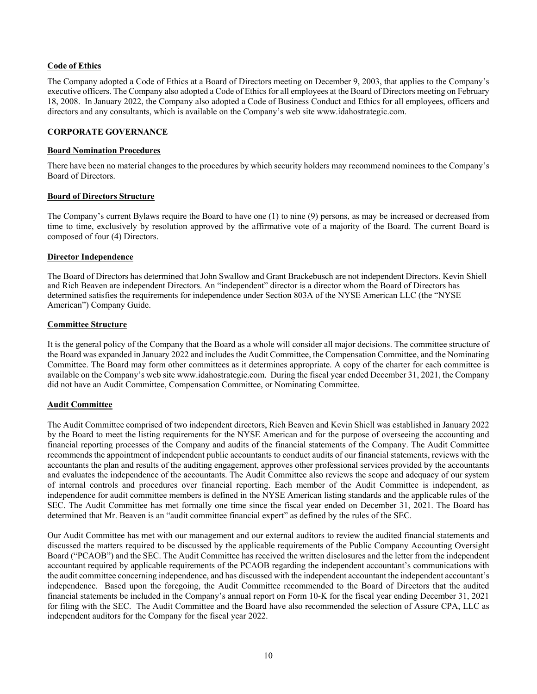# **Code of Ethics**

The Company adopted a Code of Ethics at a Board of Directors meeting on December 9, 2003, that applies to the Company's executive officers. The Company also adopted a Code of Ethics for all employees at the Board of Directors meeting on February 18, 2008. In January 2022, the Company also adopted a Code of Business Conduct and Ethics for all employees, officers and directors and any consultants, which is available on the Company's web site www.idahostrategic.com.

# **CORPORATE GOVERNANCE**

### **Board Nomination Procedures**

There have been no material changes to the procedures by which security holders may recommend nominees to the Company's Board of Directors.

### **Board of Directors Structure**

The Company's current Bylaws require the Board to have one (1) to nine (9) persons, as may be increased or decreased from time to time, exclusively by resolution approved by the affirmative vote of a majority of the Board. The current Board is composed of four (4) Directors.

## **Director Independence**

The Board of Directors has determined that John Swallow and Grant Brackebusch are not independent Directors. Kevin Shiell and Rich Beaven are independent Directors. An "independent" director is a director whom the Board of Directors has determined satisfies the requirements for independence under Section 803A of the NYSE American LLC (the "NYSE American") Company Guide.

## **Committee Structure**

It is the general policy of the Company that the Board as a whole will consider all major decisions. The committee structure of the Board was expanded in January 2022 and includes the Audit Committee, the Compensation Committee, and the Nominating Committee. The Board may form other committees as it determines appropriate. A copy of the charter for each committee is available on the Company's web site www.idahostrategic.com. During the fiscal year ended December 31, 2021, the Company did not have an Audit Committee, Compensation Committee, or Nominating Committee.

# **Audit Committee**

The Audit Committee comprised of two independent directors, Rich Beaven and Kevin Shiell was established in January 2022 by the Board to meet the listing requirements for the NYSE American and for the purpose of overseeing the accounting and financial reporting processes of the Company and audits of the financial statements of the Company. The Audit Committee recommends the appointment of independent public accountants to conduct audits of our financial statements, reviews with the accountants the plan and results of the auditing engagement, approves other professional services provided by the accountants and evaluates the independence of the accountants. The Audit Committee also reviews the scope and adequacy of our system of internal controls and procedures over financial reporting. Each member of the Audit Committee is independent, as independence for audit committee members is defined in the NYSE American listing standards and the applicable rules of the SEC. The Audit Committee has met formally one time since the fiscal year ended on December 31, 2021. The Board has determined that Mr. Beaven is an "audit committee financial expert" as defined by the rules of the SEC.

Our Audit Committee has met with our management and our external auditors to review the audited financial statements and discussed the matters required to be discussed by the applicable requirements of the Public Company Accounting Oversight Board ("PCAOB") and the SEC. The Audit Committee has received the written disclosures and the letter from the independent accountant required by applicable requirements of the PCAOB regarding the independent accountant's communications with the audit committee concerning independence, and has discussed with the independent accountant the independent accountant's independence. Based upon the foregoing, the Audit Committee recommended to the Board of Directors that the audited financial statements be included in the Company's annual report on Form 10-K for the fiscal year ending December 31, 2021 for filing with the SEC. The Audit Committee and the Board have also recommended the selection of Assure CPA, LLC as independent auditors for the Company for the fiscal year 2022.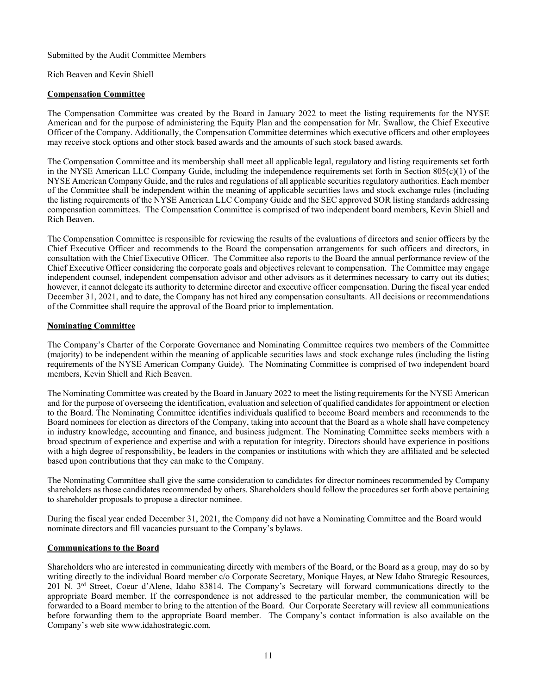Submitted by the Audit Committee Members

# Rich Beaven and Kevin Shiell

# **Compensation Committee**

The Compensation Committee was created by the Board in January 2022 to meet the listing requirements for the NYSE American and for the purpose of administering the Equity Plan and the compensation for Mr. Swallow, the Chief Executive Officer of the Company. Additionally, the Compensation Committee determines which executive officers and other employees may receive stock options and other stock based awards and the amounts of such stock based awards.

The Compensation Committee and its membership shall meet all applicable legal, regulatory and listing requirements set forth in the NYSE American LLC Company Guide, including the independence requirements set forth in Section 805(c)(1) of the NYSE American Company Guide, and the rules and regulations of all applicable securities regulatory authorities. Each member of the Committee shall be independent within the meaning of applicable securities laws and stock exchange rules (including the listing requirements of the NYSE American LLC Company Guide and the SEC approved SOR listing standards addressing compensation committees. The Compensation Committee is comprised of two independent board members, Kevin Shiell and Rich Beaven.

The Compensation Committee is responsible for reviewing the results of the evaluations of directors and senior officers by the Chief Executive Officer and recommends to the Board the compensation arrangements for such officers and directors, in consultation with the Chief Executive Officer. The Committee also reports to the Board the annual performance review of the Chief Executive Officer considering the corporate goals and objectives relevant to compensation. The Committee may engage independent counsel, independent compensation advisor and other advisors as it determines necessary to carry out its duties; however, it cannot delegate its authority to determine director and executive officer compensation. During the fiscal year ended December 31, 2021, and to date, the Company has not hired any compensation consultants. All decisions or recommendations of the Committee shall require the approval of the Board prior to implementation.

# **Nominating Committee**

The Company's Charter of the Corporate Governance and Nominating Committee requires two members of the Committee (majority) to be independent within the meaning of applicable securities laws and stock exchange rules (including the listing requirements of the NYSE American Company Guide). The Nominating Committee is comprised of two independent board members, Kevin Shiell and Rich Beaven.

The Nominating Committee was created by the Board in January 2022 to meet the listing requirements for the NYSE American and for the purpose of overseeing the identification, evaluation and selection of qualified candidates for appointment or election to the Board. The Nominating Committee identifies individuals qualified to become Board members and recommends to the Board nominees for election as directors of the Company, taking into account that the Board as a whole shall have competency in industry knowledge, accounting and finance, and business judgment. The Nominating Committee seeks members with a broad spectrum of experience and expertise and with a reputation for integrity. Directors should have experience in positions with a high degree of responsibility, be leaders in the companies or institutions with which they are affiliated and be selected based upon contributions that they can make to the Company.

The Nominating Committee shall give the same consideration to candidates for director nominees recommended by Company shareholders as those candidates recommended by others. Shareholders should follow the procedures set forth above pertaining to shareholder proposals to propose a director nominee.

During the fiscal year ended December 31, 2021, the Company did not have a Nominating Committee and the Board would nominate directors and fill vacancies pursuant to the Company's bylaws.

# **Communications to the Board**

Shareholders who are interested in communicating directly with members of the Board, or the Board as a group, may do so by writing directly to the individual Board member c/o Corporate Secretary, Monique Hayes, at New Idaho Strategic Resources, 201 N. 3rd Street, Coeur d'Alene, Idaho 83814. The Company's Secretary will forward communications directly to the appropriate Board member. If the correspondence is not addressed to the particular member, the communication will be forwarded to a Board member to bring to the attention of the Board. Our Corporate Secretary will review all communications before forwarding them to the appropriate Board member. The Company's contact information is also available on the Company's web site www.idahostrategic.com.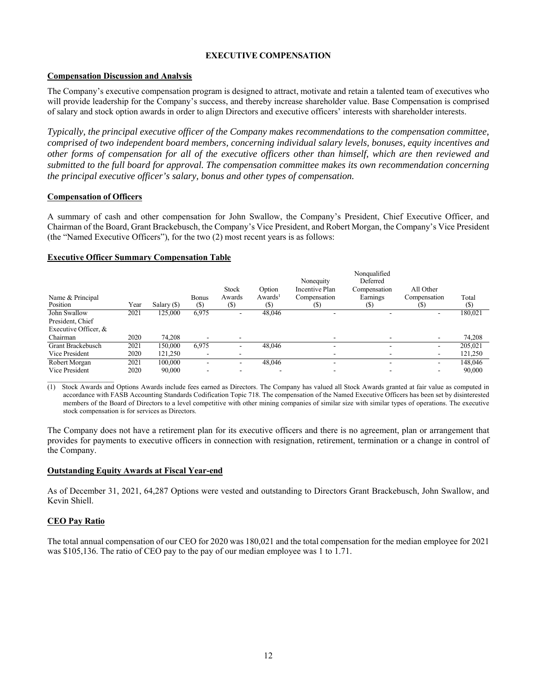# **EXECUTIVE COMPENSATION**

# **Compensation Discussion and Analysis**

The Company's executive compensation program is designed to attract, motivate and retain a talented team of executives who will provide leadership for the Company's success, and thereby increase shareholder value. Base Compensation is comprised of salary and stock option awards in order to align Directors and executive officers' interests with shareholder interests.

*Typically, the principal executive officer of the Company makes recommendations to the compensation committee, comprised of two independent board members, concerning individual salary levels, bonuses, equity incentives and other forms of compensation for all of the executive officers other than himself, which are then reviewed and submitted to the full board for approval. The compensation committee makes its own recommendation concerning the principal executive officer's salary, bonus and other types of compensation.*

# **Compensation of Officers**

A summary of cash and other compensation for John Swallow, the Company's President, Chief Executive Officer, and Chairman of the Board, Grant Brackebusch, the Company's Vice President, and Robert Morgan, the Company's Vice President (the "Named Executive Officers"), for the two (2) most recent years is as follows:

## **Executive Officer Summary Compensation Table**

| Name & Principal<br>Position |      |             | <b>Bonus</b>             | Stock<br>Awards | Option<br>Awards <sup>1</sup> | Nonequity<br>Incentive Plan<br>Compensation | Nonqualified<br>Deferred<br>Compensation<br>Earnings | All Other<br>Compensation   | Total   |
|------------------------------|------|-------------|--------------------------|-----------------|-------------------------------|---------------------------------------------|------------------------------------------------------|-----------------------------|---------|
|                              | Year | Salary (\$) | (\$)                     | (\$)            | (S)                           | (S)                                         | (S)                                                  | $\left( \mathcal{D}\right)$ | (\$)    |
| John Swallow                 | 2021 | 125,000     | 6.975                    |                 | 48,046                        | $\overline{\phantom{0}}$                    |                                                      | -                           | 180,021 |
| President, Chief             |      |             |                          |                 |                               |                                             |                                                      |                             |         |
| Executive Officer, &         |      |             |                          |                 |                               |                                             |                                                      |                             |         |
| Chairman                     | 2020 | 74.208      | ۰                        |                 |                               |                                             |                                                      | $\overline{\phantom{a}}$    | 74,208  |
| Grant Brackebusch            | 2021 | 150,000     | 6.975                    | ۰               | 48,046                        | $\overline{\phantom{0}}$                    |                                                      | -                           | 205.021 |
| Vice President               | 2020 | 121,250     | $\overline{\phantom{a}}$ |                 |                               |                                             |                                                      | ۰                           | 121,250 |
| Robert Morgan                | 2021 | 100,000     | ۰                        | -               | 48,046                        | $\overline{\phantom{a}}$                    | -                                                    | $\overline{\phantom{a}}$    | 148,046 |
| Vice President               | 2020 | 90,000      |                          |                 |                               |                                             |                                                      |                             | 90,000  |

(1) Stock Awards and Options Awards include fees earned as Directors. The Company has valued all Stock Awards granted at fair value as computed in accordance with FASB Accounting Standards Codification Topic 718. The compensation of the Named Executive Officers has been set by disinterested members of the Board of Directors to a level competitive with other mining companies of similar size with similar types of operations. The executive stock compensation is for services as Directors.

The Company does not have a retirement plan for its executive officers and there is no agreement, plan or arrangement that provides for payments to executive officers in connection with resignation, retirement, termination or a change in control of the Company.

### **Outstanding Equity Awards at Fiscal Year-end**

As of December 31, 2021, 64,287 Options were vested and outstanding to Directors Grant Brackebusch, John Swallow, and Kevin Shiell.

### **CEO Pay Ratio**

The total annual compensation of our CEO for 2020 was 180,021 and the total compensation for the median employee for 2021 was \$105,136. The ratio of CEO pay to the pay of our median employee was 1 to 1.71.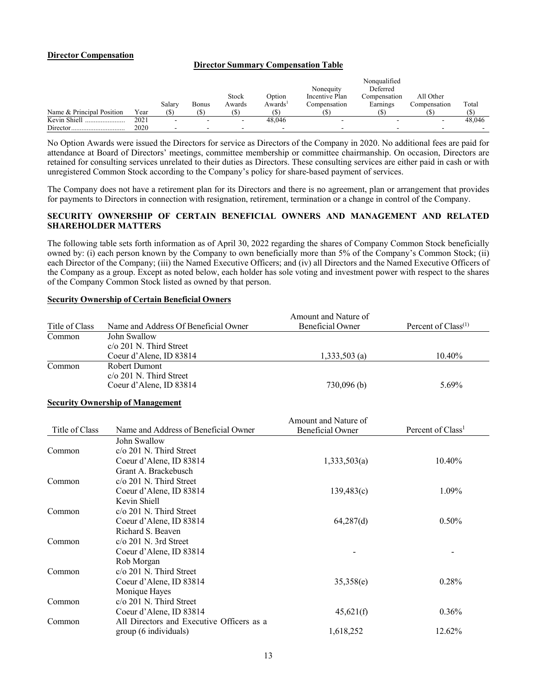### **Director Compensation**

# **Director Summary Compensation Table**

|                           |      |        |       |        |                     |                | Nonqualified |              |        |
|---------------------------|------|--------|-------|--------|---------------------|----------------|--------------|--------------|--------|
|                           |      |        |       |        |                     | Nonequity      | Deferred     |              |        |
|                           |      |        |       | Stock  | Option              | Incentive Plan | Compensation | All Other    |        |
|                           |      | Salary | Bonus | Awards | Awards <sup>1</sup> | Compensation   | Earnings     | Compensation | Total  |
| Name & Principal Position | Year |        |       |        |                     |                |              |              |        |
| Kevin Shiell<br>          | 2021 |        |       |        | 48,046              |                |              |              | 48,046 |
| Director.                 | 2020 |        |       |        |                     |                |              |              |        |

No Option Awards were issued the Directors for service as Directors of the Company in 2020. No additional fees are paid for attendance at Board of Directors' meetings, committee membership or committee chairmanship. On occasion, Directors are retained for consulting services unrelated to their duties as Directors. These consulting services are either paid in cash or with unregistered Common Stock according to the Company's policy for share-based payment of services.

The Company does not have a retirement plan for its Directors and there is no agreement, plan or arrangement that provides for payments to Directors in connection with resignation, retirement, termination or a change in control of the Company.

# **SECURITY OWNERSHIP OF CERTAIN BENEFICIAL OWNERS AND MANAGEMENT AND RELATED SHAREHOLDER MATTERS**

The following table sets forth information as of April 30, 2022 regarding the shares of Company Common Stock beneficially owned by: (i) each person known by the Company to own beneficially more than 5% of the Company's Common Stock; (ii) each Director of the Company; (iii) the Named Executive Officers; and (iv) all Directors and the Named Executive Officers of the Company as a group. Except as noted below, each holder has sole voting and investment power with respect to the shares of the Company Common Stock listed as owned by that person.

| Title of Class | Name and Address Of Beneficial Owner      | Amount and Nature of<br><b>Beneficial Owner</b> | Percent of Class <sup>(1)</sup> |
|----------------|-------------------------------------------|-------------------------------------------------|---------------------------------|
| Common         | John Swallow                              |                                                 |                                 |
|                | c/o 201 N. Third Street                   |                                                 |                                 |
|                | Coeur d'Alene, ID 83814                   | $1,333,503$ (a)                                 | 10.40%                          |
| Common         | Robert Dumont                             |                                                 |                                 |
|                | $c/\sigma$ 201 N. Third Street            |                                                 |                                 |
|                | Coeur d'Alene, ID 83814                   | 730,096(b)                                      | 5.69%                           |
|                | <b>Security Ownership of Management</b>   |                                                 |                                 |
|                |                                           | Amount and Nature of                            |                                 |
| Title of Class | Name and Address of Beneficial Owner      | <b>Beneficial Owner</b>                         | Percent of Class <sup>1</sup>   |
|                | John Swallow                              |                                                 |                                 |
| Common         | $c/\sigma$ 201 N. Third Street            |                                                 |                                 |
|                | Coeur d'Alene, ID 83814                   | 1,333,503(a)                                    | 10.40%                          |
|                | Grant A. Brackebusch                      |                                                 |                                 |
| Common         | $c$ / $o$ 201 N. Third Street             |                                                 |                                 |
|                | Coeur d'Alene, ID 83814                   | 139,483(c)                                      | 1.09%                           |
|                | Kevin Shiell                              |                                                 |                                 |
| Common         | c/o 201 N. Third Street                   |                                                 |                                 |
|                | Coeur d'Alene, ID 83814                   | 64,287(d)                                       | 0.50%                           |
|                | Richard S. Beaven                         |                                                 |                                 |
| Common         | $c$ /o 201 N. 3rd Street                  |                                                 |                                 |
|                | Coeur d'Alene, ID 83814                   |                                                 |                                 |
|                | Rob Morgan                                |                                                 |                                 |
| Common         | $c/\sigma$ 201 N. Third Street            |                                                 |                                 |
|                | Coeur d'Alene, ID 83814                   | 35,358(e)                                       | 0.28%                           |
|                | Monique Hayes                             |                                                 |                                 |
| Common         | c/o 201 N. Third Street                   |                                                 |                                 |
|                | Coeur d'Alene, ID 83814                   | 45,621(f)                                       | 0.36%                           |
| Common         | All Directors and Executive Officers as a |                                                 |                                 |
|                | group (6 individuals)                     | 1,618,252                                       | 12.62%                          |

### **Security Ownership of Certain Beneficial Owners**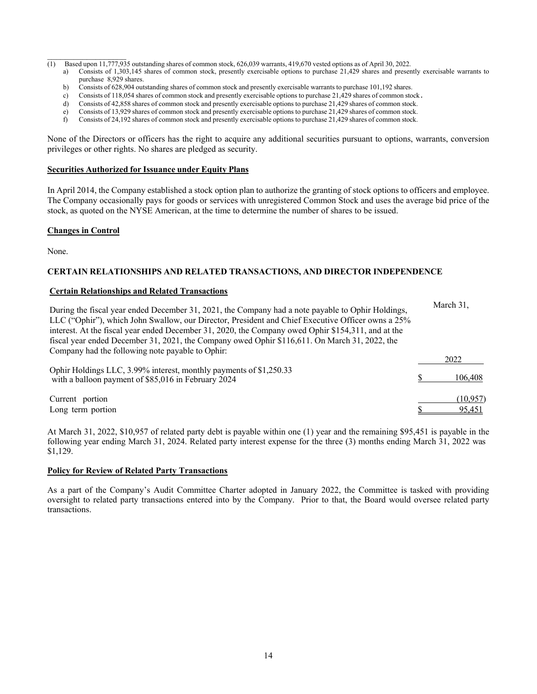- (1) Based upon 11,777,935 outstanding shares of common stock, 626,039 warrants, 419,670 vested options as of April 30, 2022.
	- a) Consists of 1,303,145 shares of common stock, presently exercisable options to purchase 21,429 shares and presently exercisable warrants to purchase 8,929 shares.
	- b) Consists of 628,904 outstanding shares of common stock and presently exercisable warrants to purchase 101,192 shares.
	- c) Consists of 118,054 shares of common stock and presently exercisable options to purchase 21,429 shares of common stock.<br>Consists of 42.858 shares of common stock and presently exercisable options to purchase 21.429 shar
	- Consists of  $42,858$  shares of common stock and presently exercisable options to purchase  $21,429$  shares of common stock.
	- e) Consists of 13,929 shares of common stock and presently exercisable options to purchase 21,429 shares of common stock.
	- f) Consists of 24,192 shares of common stock and presently exercisable options to purchase 21,429 shares of common stock.

None of the Directors or officers has the right to acquire any additional securities pursuant to options, warrants, conversion privileges or other rights. No shares are pledged as security.

#### **Securities Authorized for Issuance under Equity Plans**

In April 2014, the Company established a stock option plan to authorize the granting of stock options to officers and employee. The Company occasionally pays for goods or services with unregistered Common Stock and uses the average bid price of the stock, as quoted on the NYSE American, at the time to determine the number of shares to be issued.

### **Changes in Control**

None.

## **CERTAIN RELATIONSHIPS AND RELATED TRANSACTIONS, AND DIRECTOR INDEPENDENCE**

### **Certain Relationships and Related Transactions**

| During the fiscal year ended December 31, 2021, the Company had a note payable to Ophir Holdings,<br>LLC ("Ophir"), which John Swallow, our Director, President and Chief Executive Officer owns a 25%<br>interest. At the fiscal year ended December 31, 2020, the Company owed Ophir \$154,311, and at the<br>fiscal year ended December 31, 2021, the Company owed Ophir \$116,611. On March 31, 2022, the | March 31,          |
|---------------------------------------------------------------------------------------------------------------------------------------------------------------------------------------------------------------------------------------------------------------------------------------------------------------------------------------------------------------------------------------------------------------|--------------------|
| Company had the following note payable to Ophir:                                                                                                                                                                                                                                                                                                                                                              | 2022               |
| Ophir Holdings LLC, 3.99% interest, monthly payments of \$1,250.33<br>with a balloon payment of \$85,016 in February 2024                                                                                                                                                                                                                                                                                     | 106,408            |
| Current portion<br>Long term portion                                                                                                                                                                                                                                                                                                                                                                          | (10.957)<br>95.451 |

At March 31, 2022, \$10,957 of related party debt is payable within one (1) year and the remaining \$95,451 is payable in the following year ending March 31, 2024. Related party interest expense for the three (3) months ending March 31, 2022 was \$1,129.

#### **Policy for Review of Related Party Transactions**

As a part of the Company's Audit Committee Charter adopted in January 2022, the Committee is tasked with providing oversight to related party transactions entered into by the Company. Prior to that, the Board would oversee related party transactions.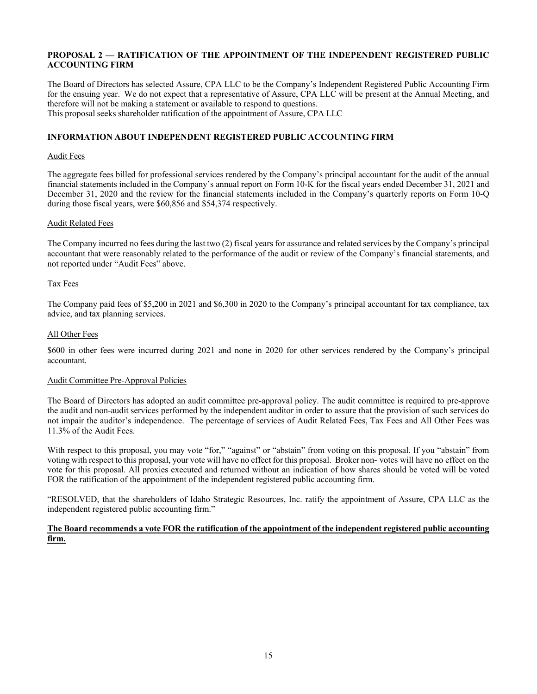# **PROPOSAL 2 — RATIFICATION OF THE APPOINTMENT OF THE INDEPENDENT REGISTERED PUBLIC ACCOUNTING FIRM**

The Board of Directors has selected Assure, CPA LLC to be the Company's Independent Registered Public Accounting Firm for the ensuing year. We do not expect that a representative of Assure, CPA LLC will be present at the Annual Meeting, and therefore will not be making a statement or available to respond to questions. This proposal seeks shareholder ratification of the appointment of Assure, CPA LLC

# **INFORMATION ABOUT INDEPENDENT REGISTERED PUBLIC ACCOUNTING FIRM**

### Audit Fees

The aggregate fees billed for professional services rendered by the Company's principal accountant for the audit of the annual financial statements included in the Company's annual report on Form 10-K for the fiscal years ended December 31, 2021 and December 31, 2020 and the review for the financial statements included in the Company's quarterly reports on Form 10-Q during those fiscal years, were \$60,856 and \$54,374 respectively.

### Audit Related Fees

The Company incurred no fees during the last two (2) fiscal years for assurance and related services by the Company's principal accountant that were reasonably related to the performance of the audit or review of the Company's financial statements, and not reported under "Audit Fees" above.

### Tax Fees

The Company paid fees of \$5,200 in 2021 and \$6,300 in 2020 to the Company's principal accountant for tax compliance, tax advice, and tax planning services.

### All Other Fees

\$600 in other fees were incurred during 2021 and none in 2020 for other services rendered by the Company's principal accountant.

#### Audit Committee Pre-Approval Policies

The Board of Directors has adopted an audit committee pre-approval policy. The audit committee is required to pre-approve the audit and non-audit services performed by the independent auditor in order to assure that the provision of such services do not impair the auditor's independence. The percentage of services of Audit Related Fees, Tax Fees and All Other Fees was 11.3% of the Audit Fees.

With respect to this proposal, you may vote "for," "against" or "abstain" from voting on this proposal. If you "abstain" from voting with respect to this proposal, your vote will have no effect for this proposal. Broker non- votes will have no effect on the vote for this proposal. All proxies executed and returned without an indication of how shares should be voted will be voted FOR the ratification of the appointment of the independent registered public accounting firm.

"RESOLVED, that the shareholders of Idaho Strategic Resources, Inc. ratify the appointment of Assure, CPA LLC as the independent registered public accounting firm."

### **The Board recommends a vote FOR the ratification of the appointment of the independent registered public accounting firm.**